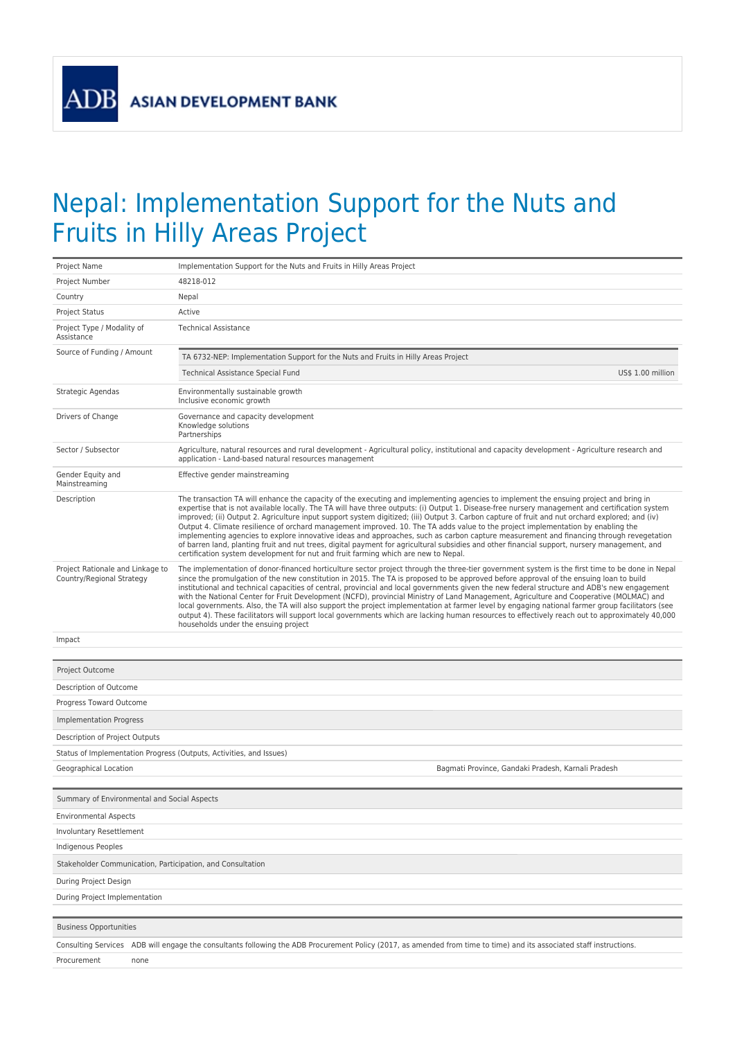**ADB** 

## Nepal: Implementation Support for the Nuts and Fruits in Hilly Areas Project

| Project Name                                                        | Implementation Support for the Nuts and Fruits in Hilly Areas Project                                                                                                                                                                                                                                                                                                                                                                                                                                                                                                                                                                                                                                                                                                                                                                                                                                                                                             |  |  |  |  |
|---------------------------------------------------------------------|-------------------------------------------------------------------------------------------------------------------------------------------------------------------------------------------------------------------------------------------------------------------------------------------------------------------------------------------------------------------------------------------------------------------------------------------------------------------------------------------------------------------------------------------------------------------------------------------------------------------------------------------------------------------------------------------------------------------------------------------------------------------------------------------------------------------------------------------------------------------------------------------------------------------------------------------------------------------|--|--|--|--|
| Project Number                                                      | 48218-012                                                                                                                                                                                                                                                                                                                                                                                                                                                                                                                                                                                                                                                                                                                                                                                                                                                                                                                                                         |  |  |  |  |
| Country                                                             | Nepal                                                                                                                                                                                                                                                                                                                                                                                                                                                                                                                                                                                                                                                                                                                                                                                                                                                                                                                                                             |  |  |  |  |
| <b>Project Status</b>                                               | Active                                                                                                                                                                                                                                                                                                                                                                                                                                                                                                                                                                                                                                                                                                                                                                                                                                                                                                                                                            |  |  |  |  |
| Project Type / Modality of<br>Assistance                            | <b>Technical Assistance</b>                                                                                                                                                                                                                                                                                                                                                                                                                                                                                                                                                                                                                                                                                                                                                                                                                                                                                                                                       |  |  |  |  |
| Source of Funding / Amount                                          | TA 6732-NEP: Implementation Support for the Nuts and Fruits in Hilly Areas Project                                                                                                                                                                                                                                                                                                                                                                                                                                                                                                                                                                                                                                                                                                                                                                                                                                                                                |  |  |  |  |
|                                                                     | Technical Assistance Special Fund<br>US\$ 1.00 million                                                                                                                                                                                                                                                                                                                                                                                                                                                                                                                                                                                                                                                                                                                                                                                                                                                                                                            |  |  |  |  |
| Strategic Agendas                                                   | Environmentally sustainable growth<br>Inclusive economic growth                                                                                                                                                                                                                                                                                                                                                                                                                                                                                                                                                                                                                                                                                                                                                                                                                                                                                                   |  |  |  |  |
| Drivers of Change                                                   | Governance and capacity development<br>Knowledge solutions<br>Partnerships                                                                                                                                                                                                                                                                                                                                                                                                                                                                                                                                                                                                                                                                                                                                                                                                                                                                                        |  |  |  |  |
| Sector / Subsector                                                  | Agriculture, natural resources and rural development - Agricultural policy, institutional and capacity development - Agriculture research and<br>application - Land-based natural resources management                                                                                                                                                                                                                                                                                                                                                                                                                                                                                                                                                                                                                                                                                                                                                            |  |  |  |  |
| Gender Equity and<br>Mainstreaming                                  | Effective gender mainstreaming                                                                                                                                                                                                                                                                                                                                                                                                                                                                                                                                                                                                                                                                                                                                                                                                                                                                                                                                    |  |  |  |  |
| Description                                                         | The transaction TA will enhance the capacity of the executing and implementing agencies to implement the ensuing project and bring in<br>expertise that is not available locally. The TA will have three outputs: (i) Output 1. Disease-free nursery management and certification system<br>improved; (ii) Output 2. Agriculture input support system digitized; (iii) Output 3. Carbon capture of fruit and nut orchard explored; and (iv)<br>Output 4. Climate resilience of orchard management improved. 10. The TA adds value to the project implementation by enabling the<br>implementing agencies to explore innovative ideas and approaches, such as carbon capture measurement and financing through revegetation<br>of barren land, planting fruit and nut trees, digital payment for agricultural subsidies and other financial support, nursery management, and<br>certification system development for nut and fruit farming which are new to Nepal. |  |  |  |  |
| Project Rationale and Linkage to<br>Country/Regional Strategy       | The implementation of donor-financed horticulture sector project through the three-tier government system is the first time to be done in Nepal<br>since the promulgation of the new constitution in 2015. The TA is proposed to be approved before approval of the ensuing loan to build<br>institutional and technical capacities of central, provincial and local governments given the new federal structure and ADB's new engagement<br>with the National Center for Fruit Development (NCFD), provincial Ministry of Land Management, Agriculture and Cooperative (MOLMAC) and<br>local governments. Also, the TA will also support the project implementation at farmer level by engaging national farmer group facilitators (see<br>output 4). These facilitators will support local governments which are lacking human resources to effectively reach out to approximately 40,000<br>households under the ensuing project                               |  |  |  |  |
| Impact                                                              |                                                                                                                                                                                                                                                                                                                                                                                                                                                                                                                                                                                                                                                                                                                                                                                                                                                                                                                                                                   |  |  |  |  |
| Project Outcome                                                     |                                                                                                                                                                                                                                                                                                                                                                                                                                                                                                                                                                                                                                                                                                                                                                                                                                                                                                                                                                   |  |  |  |  |
| Description of Outcome                                              |                                                                                                                                                                                                                                                                                                                                                                                                                                                                                                                                                                                                                                                                                                                                                                                                                                                                                                                                                                   |  |  |  |  |
| Progress Toward Outcome                                             |                                                                                                                                                                                                                                                                                                                                                                                                                                                                                                                                                                                                                                                                                                                                                                                                                                                                                                                                                                   |  |  |  |  |
| Implementation Progress                                             |                                                                                                                                                                                                                                                                                                                                                                                                                                                                                                                                                                                                                                                                                                                                                                                                                                                                                                                                                                   |  |  |  |  |
| Description of Project Outputs                                      |                                                                                                                                                                                                                                                                                                                                                                                                                                                                                                                                                                                                                                                                                                                                                                                                                                                                                                                                                                   |  |  |  |  |
| Status of Implementation Progress (Outputs, Activities, and Issues) |                                                                                                                                                                                                                                                                                                                                                                                                                                                                                                                                                                                                                                                                                                                                                                                                                                                                                                                                                                   |  |  |  |  |
| Geographical Location                                               | Bagmati Province, Gandaki Pradesh, Karnali Pradesh                                                                                                                                                                                                                                                                                                                                                                                                                                                                                                                                                                                                                                                                                                                                                                                                                                                                                                                |  |  |  |  |
| Summary of Environmental and Social Aspects                         |                                                                                                                                                                                                                                                                                                                                                                                                                                                                                                                                                                                                                                                                                                                                                                                                                                                                                                                                                                   |  |  |  |  |
| <b>Environmental Aspects</b>                                        |                                                                                                                                                                                                                                                                                                                                                                                                                                                                                                                                                                                                                                                                                                                                                                                                                                                                                                                                                                   |  |  |  |  |
| Involuntary Resettlement                                            |                                                                                                                                                                                                                                                                                                                                                                                                                                                                                                                                                                                                                                                                                                                                                                                                                                                                                                                                                                   |  |  |  |  |
| Indigenous Peoples                                                  |                                                                                                                                                                                                                                                                                                                                                                                                                                                                                                                                                                                                                                                                                                                                                                                                                                                                                                                                                                   |  |  |  |  |
| Stakeholder Communication, Participation, and Consultation          |                                                                                                                                                                                                                                                                                                                                                                                                                                                                                                                                                                                                                                                                                                                                                                                                                                                                                                                                                                   |  |  |  |  |
| During Project Design                                               |                                                                                                                                                                                                                                                                                                                                                                                                                                                                                                                                                                                                                                                                                                                                                                                                                                                                                                                                                                   |  |  |  |  |
| During Project Implementation                                       |                                                                                                                                                                                                                                                                                                                                                                                                                                                                                                                                                                                                                                                                                                                                                                                                                                                                                                                                                                   |  |  |  |  |
|                                                                     |                                                                                                                                                                                                                                                                                                                                                                                                                                                                                                                                                                                                                                                                                                                                                                                                                                                                                                                                                                   |  |  |  |  |
| <b>Business Opportunities</b>                                       |                                                                                                                                                                                                                                                                                                                                                                                                                                                                                                                                                                                                                                                                                                                                                                                                                                                                                                                                                                   |  |  |  |  |
|                                                                     | Consulting Services ADB will engage the consultants following the ADB Procurement Policy (2017, as amended from time to time) and its associated staff instructions.                                                                                                                                                                                                                                                                                                                                                                                                                                                                                                                                                                                                                                                                                                                                                                                              |  |  |  |  |
| Procurement<br>none                                                 |                                                                                                                                                                                                                                                                                                                                                                                                                                                                                                                                                                                                                                                                                                                                                                                                                                                                                                                                                                   |  |  |  |  |